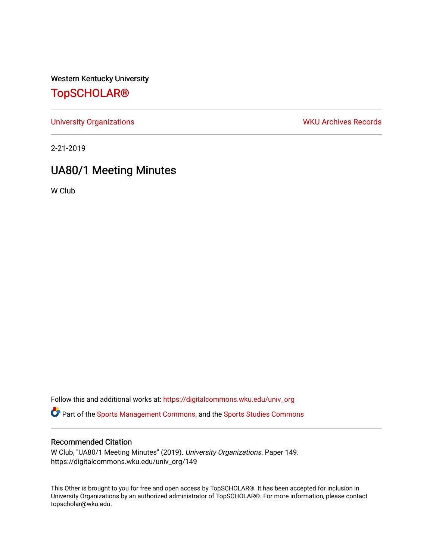Western Kentucky University

# [TopSCHOLAR®](https://digitalcommons.wku.edu/)

[University Organizations](https://digitalcommons.wku.edu/univ_org) **WKU Archives Records** 

2-21-2019

# UA80/1 Meeting Minutes

W Club

Follow this and additional works at: [https://digitalcommons.wku.edu/univ\\_org](https://digitalcommons.wku.edu/univ_org?utm_source=digitalcommons.wku.edu%2Funiv_org%2F149&utm_medium=PDF&utm_campaign=PDFCoverPages) 

**C** Part of the [Sports Management Commons](http://network.bepress.com/hgg/discipline/1193?utm_source=digitalcommons.wku.edu%2Funiv_org%2F149&utm_medium=PDF&utm_campaign=PDFCoverPages), and the [Sports Studies Commons](http://network.bepress.com/hgg/discipline/1198?utm_source=digitalcommons.wku.edu%2Funiv_org%2F149&utm_medium=PDF&utm_campaign=PDFCoverPages)

### Recommended Citation

W Club, "UA80/1 Meeting Minutes" (2019). University Organizations. Paper 149. https://digitalcommons.wku.edu/univ\_org/149

This Other is brought to you for free and open access by TopSCHOLAR®. It has been accepted for inclusion in University Organizations by an authorized administrator of TopSCHOLAR®. For more information, please contact topscholar@wku.edu.